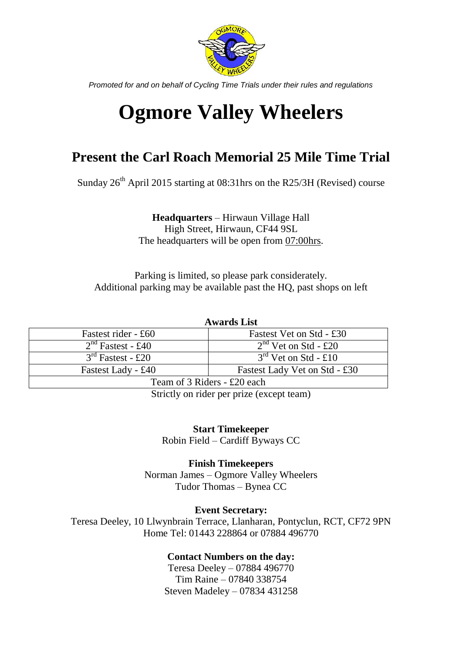

*Promoted for and on behalf of Cycling Time Trials under their rules and regulations*

# **Ogmore Valley Wheelers**

## **Present the Carl Roach Memorial 25 Mile Time Trial**

Sunday  $26^{th}$  April 2015 starting at 08:31hrs on the R25/3H (Revised) course

**Headquarters** – Hirwaun Village Hall High Street, Hirwaun, CF44 9SL The headquarters will be open from 07:00hrs.

Parking is limited, so please park considerately. Additional parking may be available past the HQ, past shops on left

| <b>Awards List</b> |  |  |  |
|--------------------|--|--|--|
|                    |  |  |  |

| Fastest rider - £60         | Fastest Vet on Std - £30      |  |  |  |
|-----------------------------|-------------------------------|--|--|--|
| $2nd$ Fastest - £40         | $2nd$ Vet on Std - £20        |  |  |  |
| $3rd$ Fastest - £20         | $3rd$ Vet on Std - £10        |  |  |  |
| Fastest Lady - £40          | Fastest Lady Vet on Std - £30 |  |  |  |
| Team of 3 Riders - £20 each |                               |  |  |  |

Strictly on rider per prize (except team)

**Start Timekeeper** Robin Field – Cardiff Byways CC

**Finish Timekeepers** Norman James – Ogmore Valley Wheelers Tudor Thomas – Bynea CC

#### **Event Secretary:**

Teresa Deeley, 10 Llwynbrain Terrace, Llanharan, Pontyclun, RCT, CF72 9PN Home Tel: 01443 228864 or 07884 496770

### **Contact Numbers on the day:**

Teresa Deeley – 07884 496770 Tim Raine – 07840 338754 Steven Madeley – 07834 431258